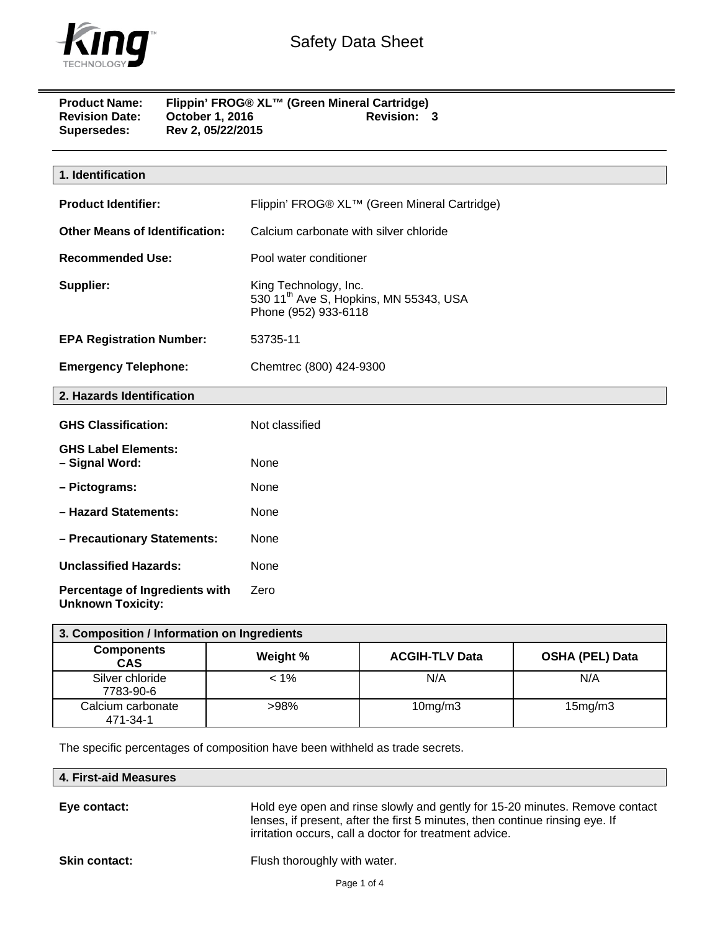

| <b>Product Name:</b>  | Flippin' FROG® XL™ (Green Mineral Cartridge) |                    |
|-----------------------|----------------------------------------------|--------------------|
| <b>Revision Date:</b> | <b>October 1, 2016</b>                       | <b>Revision: 3</b> |
| Supersedes:           | Rev 2, 05/22/2015                            |                    |

| 1. Identification                                          |                                                                                                     |
|------------------------------------------------------------|-----------------------------------------------------------------------------------------------------|
| <b>Product Identifier:</b>                                 | Flippin' FROG® XL™ (Green Mineral Cartridge)                                                        |
| <b>Other Means of Identification:</b>                      | Calcium carbonate with silver chloride                                                              |
| <b>Recommended Use:</b>                                    | Pool water conditioner                                                                              |
| Supplier:                                                  | King Technology, Inc.<br>530 11 <sup>th</sup> Ave S, Hopkins, MN 55343, USA<br>Phone (952) 933-6118 |
| <b>EPA Registration Number:</b>                            | 53735-11                                                                                            |
| <b>Emergency Telephone:</b>                                | Chemtrec (800) 424-9300                                                                             |
| 2. Hazards Identification                                  |                                                                                                     |
| <b>GHS Classification:</b>                                 | Not classified                                                                                      |
| <b>GHS Label Elements:</b><br>- Signal Word:               | None                                                                                                |
| - Pictograms:                                              | None                                                                                                |
| - Hazard Statements:                                       | None                                                                                                |
| - Precautionary Statements:                                | None                                                                                                |
| <b>Unclassified Hazards:</b>                               | None                                                                                                |
| Percentage of Ingredients with<br><b>Unknown Toxicity:</b> | Zero                                                                                                |

| 3. Composition / Information on Ingredients |          |                       |                        |
|---------------------------------------------|----------|-----------------------|------------------------|
| <b>Components</b><br><b>CAS</b>             | Weight % | <b>ACGIH-TLV Data</b> | <b>OSHA (PEL) Data</b> |
| Silver chloride<br>7783-90-6                | $< 1\%$  | N/A                   | N/A                    |
| Calcium carbonate<br>471-34-1               | >98%     | $10$ mg/m $3$         | 15mg/m3                |

The specific percentages of composition have been withheld as trade secrets.

| 4. First-aid Measures |
|-----------------------|
|-----------------------|

**Eye contact:** Hold eye open and rinse slowly and gently for 15-20 minutes. Remove contact lenses, if present, after the first 5 minutes, then continue rinsing eye. If irritation occurs, call a doctor for treatment advice.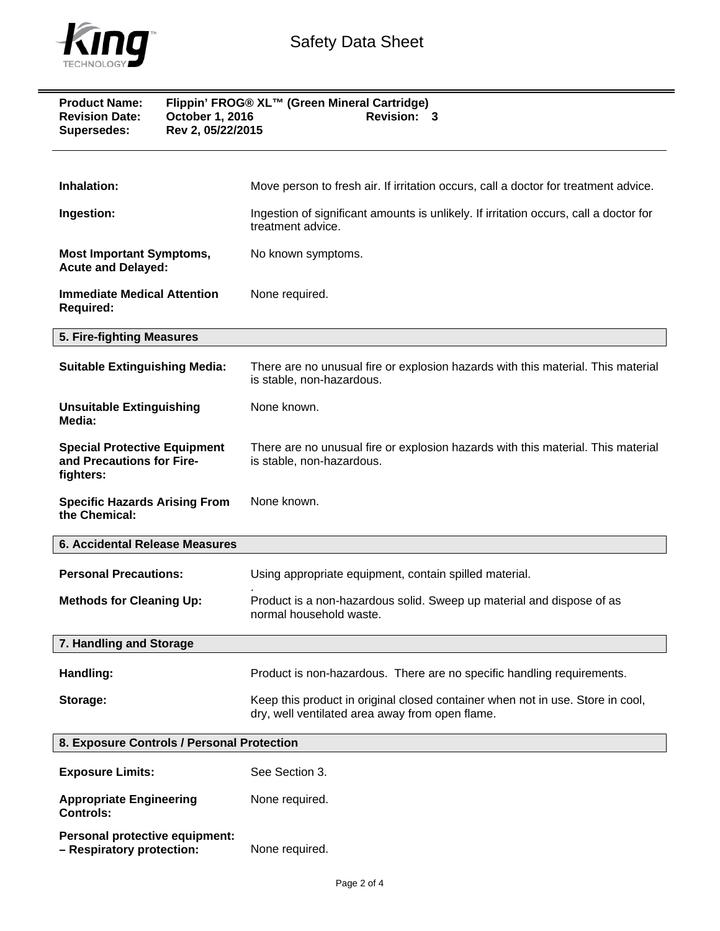

| Flippin' FROG® XL™ (Green Mineral Cartridge)<br><b>Product Name:</b><br><b>Revision Date:</b><br>October 1, 2016<br>Revision: 3<br>Rev 2, 05/22/2015<br><b>Supersedes:</b> |                                                                                                                                   |
|----------------------------------------------------------------------------------------------------------------------------------------------------------------------------|-----------------------------------------------------------------------------------------------------------------------------------|
| Inhalation:                                                                                                                                                                | Move person to fresh air. If irritation occurs, call a doctor for treatment advice.                                               |
| Ingestion:                                                                                                                                                                 | Ingestion of significant amounts is unlikely. If irritation occurs, call a doctor for<br>treatment advice.                        |
| <b>Most Important Symptoms,</b><br><b>Acute and Delayed:</b>                                                                                                               | No known symptoms.                                                                                                                |
| <b>Immediate Medical Attention</b><br><b>Required:</b>                                                                                                                     | None required.                                                                                                                    |
| 5. Fire-fighting Measures                                                                                                                                                  |                                                                                                                                   |
| <b>Suitable Extinguishing Media:</b>                                                                                                                                       | There are no unusual fire or explosion hazards with this material. This material<br>is stable, non-hazardous.                     |
| <b>Unsuitable Extinguishing</b><br>Media:                                                                                                                                  | None known.                                                                                                                       |
| <b>Special Protective Equipment</b><br>and Precautions for Fire-<br>fighters:                                                                                              | There are no unusual fire or explosion hazards with this material. This material<br>is stable, non-hazardous.                     |
| <b>Specific Hazards Arising From</b><br>the Chemical:                                                                                                                      | None known.                                                                                                                       |
| <b>6. Accidental Release Measures</b>                                                                                                                                      |                                                                                                                                   |
| <b>Personal Precautions:</b>                                                                                                                                               | Using appropriate equipment, contain spilled material.                                                                            |
| <b>Methods for Cleaning Up:</b>                                                                                                                                            | Product is a non-hazardous solid. Sweep up material and dispose of as<br>normal household waste.                                  |
| 7. Handling and Storage                                                                                                                                                    |                                                                                                                                   |
| Handling:                                                                                                                                                                  | Product is non-hazardous. There are no specific handling requirements.                                                            |
| Storage:                                                                                                                                                                   | Keep this product in original closed container when not in use. Store in cool,<br>dry, well ventilated area away from open flame. |
| 8. Exposure Controls / Personal Protection                                                                                                                                 |                                                                                                                                   |
| <b>Exposure Limits:</b>                                                                                                                                                    | See Section 3.                                                                                                                    |
| <b>Appropriate Engineering</b><br><b>Controls:</b>                                                                                                                         | None required.                                                                                                                    |

**Personal protective equipment: – Respiratory protection:** None required.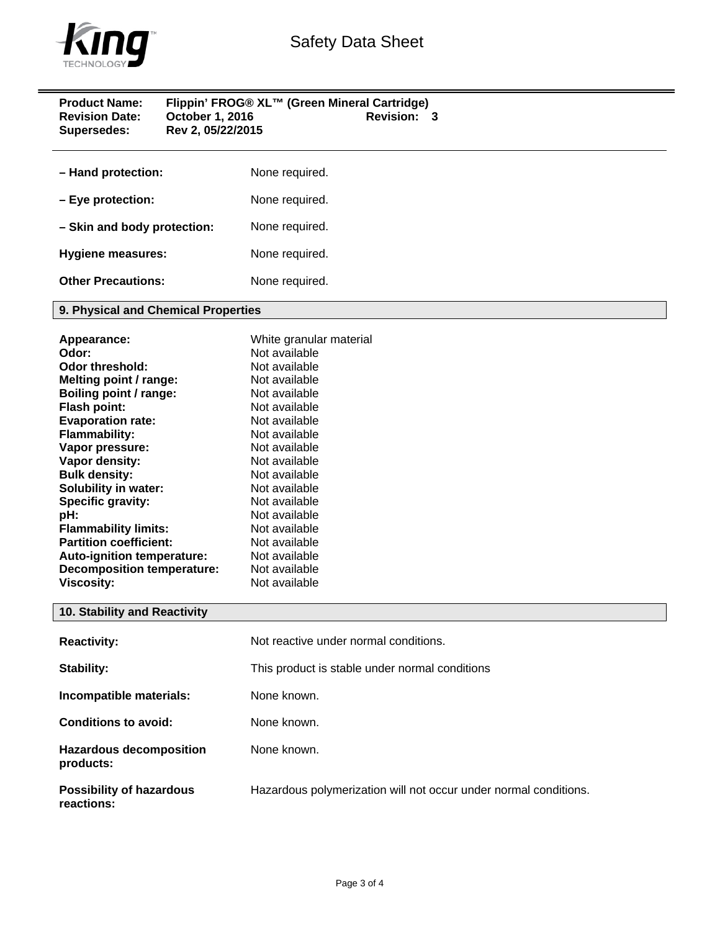

| <b>Product Name:</b><br><b>Revision Date:</b><br>Supersedes:                                                                                                                                                                                                                                                                                                                                                                                    | October 1, 2016<br>Rev 2, 05/22/2015 | Flippin' FROG® XL™ (Green Mineral Cartridge)<br>Revision: 3                                                                                                                                                                                                                                                                               |
|-------------------------------------------------------------------------------------------------------------------------------------------------------------------------------------------------------------------------------------------------------------------------------------------------------------------------------------------------------------------------------------------------------------------------------------------------|--------------------------------------|-------------------------------------------------------------------------------------------------------------------------------------------------------------------------------------------------------------------------------------------------------------------------------------------------------------------------------------------|
| - Hand protection:                                                                                                                                                                                                                                                                                                                                                                                                                              |                                      | None required.                                                                                                                                                                                                                                                                                                                            |
| - Eye protection:                                                                                                                                                                                                                                                                                                                                                                                                                               |                                      | None required.                                                                                                                                                                                                                                                                                                                            |
| - Skin and body protection:                                                                                                                                                                                                                                                                                                                                                                                                                     |                                      | None required.                                                                                                                                                                                                                                                                                                                            |
| <b>Hygiene measures:</b>                                                                                                                                                                                                                                                                                                                                                                                                                        |                                      | None required.                                                                                                                                                                                                                                                                                                                            |
| <b>Other Precautions:</b>                                                                                                                                                                                                                                                                                                                                                                                                                       |                                      | None required.                                                                                                                                                                                                                                                                                                                            |
| 9. Physical and Chemical Properties                                                                                                                                                                                                                                                                                                                                                                                                             |                                      |                                                                                                                                                                                                                                                                                                                                           |
| Appearance:<br>Odor:<br><b>Odor threshold:</b><br>Melting point / range:<br>Boiling point / range:<br>Flash point:<br><b>Evaporation rate:</b><br>Flammability:<br>Vapor pressure:<br>Vapor density:<br><b>Bulk density:</b><br><b>Solubility in water:</b><br>Specific gravity:<br>pH:<br><b>Flammability limits:</b><br><b>Partition coefficient:</b><br>Auto-ignition temperature:<br><b>Decomposition temperature:</b><br><b>Viscosity:</b> |                                      | White granular material<br>Not available<br>Not available<br>Not available<br>Not available<br>Not available<br>Not available<br>Not available<br>Not available<br>Not available<br>Not available<br>Not available<br>Not available<br>Not available<br>Not available<br>Not available<br>Not available<br>Not available<br>Not available |
| 10. Stability and Reactivity                                                                                                                                                                                                                                                                                                                                                                                                                    |                                      |                                                                                                                                                                                                                                                                                                                                           |
| <b>Reactivity:</b>                                                                                                                                                                                                                                                                                                                                                                                                                              |                                      | Not reactive under normal conditions.                                                                                                                                                                                                                                                                                                     |
| Stability:                                                                                                                                                                                                                                                                                                                                                                                                                                      |                                      | This product is stable under normal conditions                                                                                                                                                                                                                                                                                            |
| Incompatible materials:                                                                                                                                                                                                                                                                                                                                                                                                                         |                                      | None known.                                                                                                                                                                                                                                                                                                                               |
| <b>Conditions to avoid:</b>                                                                                                                                                                                                                                                                                                                                                                                                                     |                                      | None known.                                                                                                                                                                                                                                                                                                                               |
| <b>Hazardous decomposition</b><br>products:                                                                                                                                                                                                                                                                                                                                                                                                     |                                      | None known.                                                                                                                                                                                                                                                                                                                               |
| <b>Possibility of hazardous</b><br>reactions:                                                                                                                                                                                                                                                                                                                                                                                                   |                                      | Hazardous polymerization will not occur under normal conditions.                                                                                                                                                                                                                                                                          |